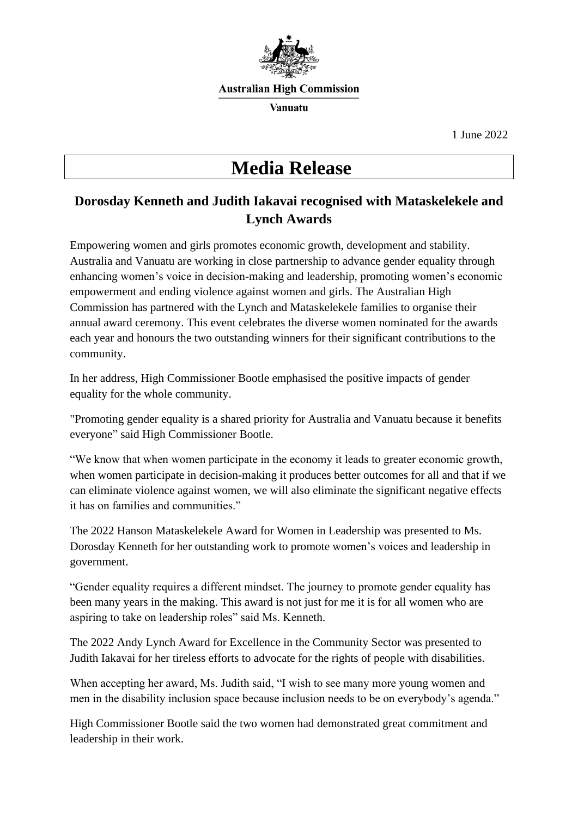

#### **Australian High Commission**

**Vanuatu** 

1 June 2022

# **Media Release**

## **Dorosday Kenneth and Judith Iakavai recognised with Mataskelekele and Lynch Awards**

Empowering women and girls promotes economic growth, development and stability. Australia and Vanuatu are working in close partnership to advance gender equality through enhancing women's voice in decision-making and leadership, promoting women's economic empowerment and ending violence against women and girls. The Australian High Commission has partnered with the Lynch and Mataskelekele families to organise their annual award ceremony. This event celebrates the diverse women nominated for the awards each year and honours the two outstanding winners for their significant contributions to the community.

In her address, High Commissioner Bootle emphasised the positive impacts of gender equality for the whole community.

"Promoting gender equality is a shared priority for Australia and Vanuatu because it benefits everyone" said High Commissioner Bootle.

"We know that when women participate in the economy it leads to greater economic growth, when women participate in decision-making it produces better outcomes for all and that if we can eliminate violence against women, we will also eliminate the significant negative effects it has on families and communities."

The 2022 Hanson Mataskelekele Award for Women in Leadership was presented to Ms. Dorosday Kenneth for her outstanding work to promote women's voices and leadership in government.

"Gender equality requires a different mindset. The journey to promote gender equality has been many years in the making. This award is not just for me it is for all women who are aspiring to take on leadership roles" said Ms. Kenneth.

The 2022 Andy Lynch Award for Excellence in the Community Sector was presented to Judith Iakavai for her tireless efforts to advocate for the rights of people with disabilities.

When accepting her award, Ms. Judith said, "I wish to see many more young women and men in the disability inclusion space because inclusion needs to be on everybody's agenda."

High Commissioner Bootle said the two women had demonstrated great commitment and leadership in their work.